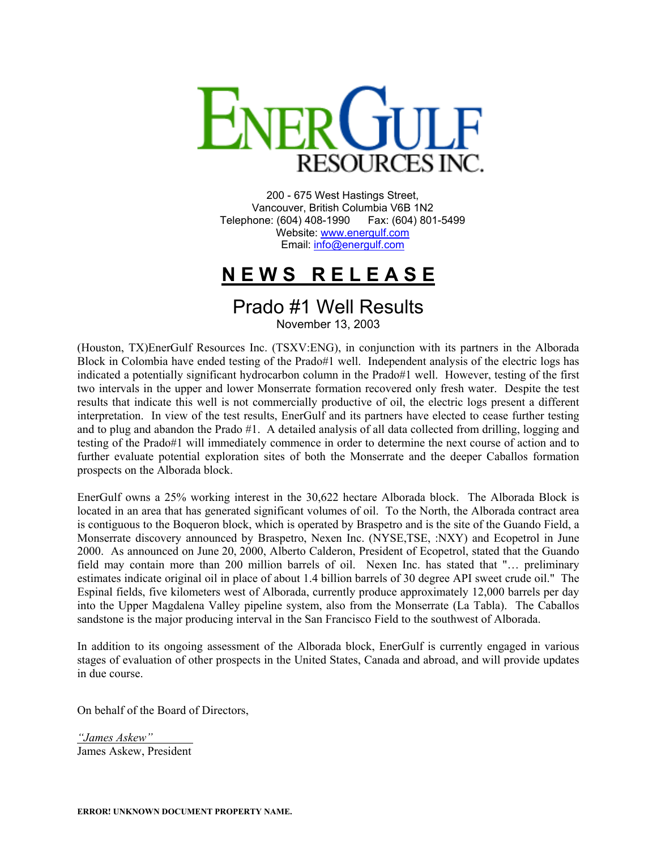

200 - 675 West Hastings Street, Vancouver, British Columbia V6B 1N2 Telephone: (604) 408-1990 Fax: (604) 801-5499 Website: [www.energulf.com](http://www.energulf.com/) Email: [info@energulf.com](mailto:info@energulf.com)

## **N E W S R E L E A S E**

## Prado #1 Well Results

November 13, 2003

(Houston, TX)EnerGulf Resources Inc. (TSXV:ENG), in conjunction with its partners in the Alborada Block in Colombia have ended testing of the Prado#1 well. Independent analysis of the electric logs has indicated a potentially significant hydrocarbon column in the Prado#1 well. However, testing of the first two intervals in the upper and lower Monserrate formation recovered only fresh water. Despite the test results that indicate this well is not commercially productive of oil, the electric logs present a different interpretation. In view of the test results, EnerGulf and its partners have elected to cease further testing and to plug and abandon the Prado #1. A detailed analysis of all data collected from drilling, logging and testing of the Prado#1 will immediately commence in order to determine the next course of action and to further evaluate potential exploration sites of both the Monserrate and the deeper Caballos formation prospects on the Alborada block.

EnerGulf owns a 25% working interest in the 30,622 hectare Alborada block. The Alborada Block is located in an area that has generated significant volumes of oil. To the North, the Alborada contract area is contiguous to the Boqueron block, which is operated by Braspetro and is the site of the Guando Field, a Monserrate discovery announced by Braspetro, Nexen Inc. (NYSE,TSE, :NXY) and Ecopetrol in June 2000. As announced on June 20, 2000, Alberto Calderon, President of Ecopetrol, stated that the Guando field may contain more than 200 million barrels of oil. Nexen Inc. has stated that "… preliminary estimates indicate original oil in place of about 1.4 billion barrels of 30 degree API sweet crude oil." The Espinal fields, five kilometers west of Alborada, currently produce approximately 12,000 barrels per day into the Upper Magdalena Valley pipeline system, also from the Monserrate (La Tabla). The Caballos sandstone is the major producing interval in the San Francisco Field to the southwest of Alborada.

In addition to its ongoing assessment of the Alborada block, EnerGulf is currently engaged in various stages of evaluation of other prospects in the United States, Canada and abroad, and will provide updates in due course.

On behalf of the Board of Directors,

*"James Askew"*  James Askew, President